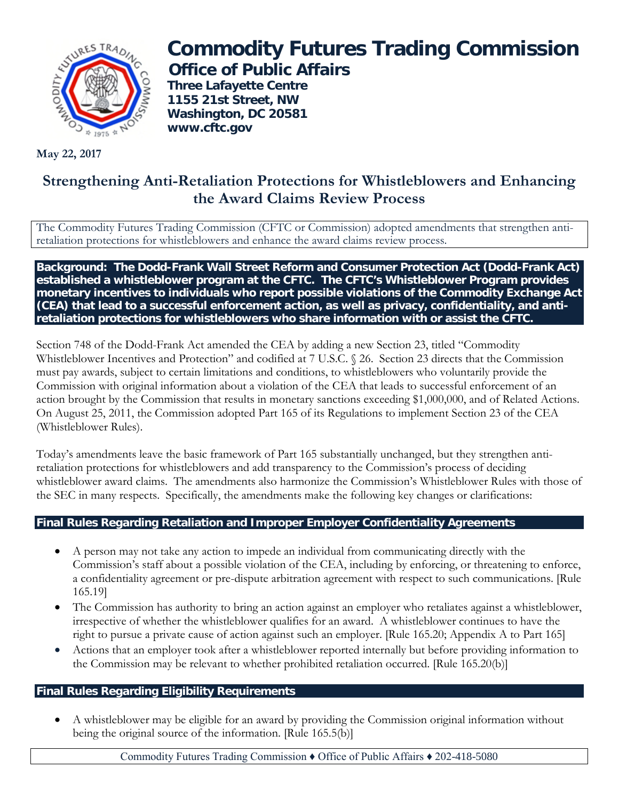

**Commodity Futures Trading Commission Office of Public Affairs**

**Three Lafayette Centre 1155 21st Street, NW Washington, DC 20581 www.cftc.gov**

**May 22, 2017**

# **Strengthening Anti-Retaliation Protections for Whistleblowers and Enhancing the Award Claims Review Process**

The Commodity Futures Trading Commission (CFTC or Commission) adopted amendments that strengthen antiretaliation protections for whistleblowers and enhance the award claims review process.

**Background: The Dodd-Frank Wall Street Reform and Consumer Protection Act (Dodd-Frank Act) established a whistleblower program at the CFTC. The CFTC's Whistleblower Program provides monetary incentives to individuals who report possible violations of the Commodity Exchange Act (CEA) that lead to a successful enforcement action, as well as privacy, confidentiality, and antiretaliation protections for whistleblowers who share information with or assist the CFTC.**

Section 748 of the Dodd-Frank Act amended the CEA by adding a new Section 23, titled "Commodity Whistleblower Incentives and Protection" and codified at 7 U.S.C. § 26. Section 23 directs that the Commission must pay awards, subject to certain limitations and conditions, to whistleblowers who voluntarily provide the Commission with original information about a violation of the CEA that leads to successful enforcement of an action brought by the Commission that results in monetary sanctions exceeding \$1,000,000, and of Related Actions. On August 25, 2011, the Commission adopted Part 165 of its Regulations to implement Section 23 of the CEA (Whistleblower Rules).

Today's amendments leave the basic framework of Part 165 substantially unchanged, but they strengthen antiretaliation protections for whistleblowers and add transparency to the Commission's process of deciding whistleblower award claims. The amendments also harmonize the Commission's Whistleblower Rules with those of the SEC in many respects. Specifically, the amendments make the following key changes or clarifications:

# **Final Rules Regarding Retaliation and Improper Employer Confidentiality Agreements**

- A person may not take any action to impede an individual from communicating directly with the Commission's staff about a possible violation of the CEA, including by enforcing, or threatening to enforce, a confidentiality agreement or pre-dispute arbitration agreement with respect to such communications. [Rule 165.19]
- The Commission has authority to bring an action against an employer who retaliates against a whistleblower, irrespective of whether the whistleblower qualifies for an award. A whistleblower continues to have the right to pursue a private cause of action against such an employer. [Rule 165.20; Appendix A to Part 165]
- Actions that an employer took after a whistleblower reported internally but before providing information to the Commission may be relevant to whether prohibited retaliation occurred. [Rule 165.20(b)]

# **Final Rules Regarding Eligibility Requirements**

• A whistleblower may be eligible for an award by providing the Commission original information without being the original source of the information. [Rule 165.5(b)]

Commodity Futures Trading Commission ♦ Office of Public Affairs ♦ 202-418-5080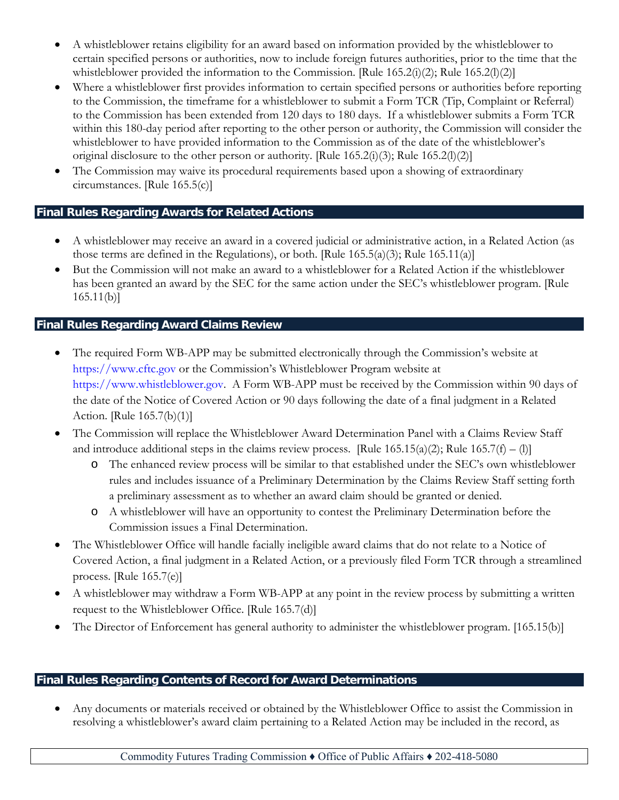- A whistleblower retains eligibility for an award based on information provided by the whistleblower to certain specified persons or authorities, now to include foreign futures authorities, prior to the time that the whistleblower provided the information to the Commission. [Rule  $165.2(i)(2)$ ; Rule  $165.2(i)(2)$ ]
- Where a whistleblower first provides information to certain specified persons or authorities before reporting to the Commission, the timeframe for a whistleblower to submit a Form TCR (Tip, Complaint or Referral) to the Commission has been extended from 120 days to 180 days. If a whistleblower submits a Form TCR within this 180-day period after reporting to the other person or authority, the Commission will consider the whistleblower to have provided information to the Commission as of the date of the whistleblower's original disclosure to the other person or authority. [Rule  $165.2(i)(3)$ ; Rule  $165.2(i)(2)$ ]
- The Commission may waive its procedural requirements based upon a showing of extraordinary circumstances. [Rule 165.5(c)]

# **Final Rules Regarding Awards for Related Actions**

- A whistleblower may receive an award in a covered judicial or administrative action, in a Related Action (as those terms are defined in the Regulations), or both. [Rule  $165.5(a)(3)$ ; Rule  $165.11(a)$ ]
- But the Commission will not make an award to a whistleblower for a Related Action if the whistleblower has been granted an award by the SEC for the same action under the SEC's whistleblower program. [Rule  $165.11(b)$

# **Final Rules Regarding Award Claims Review**

- The required Form WB-APP may be submitted electronically through the Commission's website at [https://www.cftc.gov](https://www.cftc.gov/) or the Commission's Whistleblower Program website at [https://www.whistleblower.gov.](https://www.whistleblower.gov/) A Form WB-APP must be received by the Commission within 90 days of the date of the Notice of Covered Action or 90 days following the date of a final judgment in a Related Action. [Rule 165.7(b)(1)]
- The Commission will replace the Whistleblower Award Determination Panel with a Claims Review Staff and introduce additional steps in the claims review process. [Rule  $165.15(a)(2)$ ; Rule  $165.7(f) - (1)$ ]
	- o The enhanced review process will be similar to that established under the SEC's own whistleblower rules and includes issuance of a Preliminary Determination by the Claims Review Staff setting forth a preliminary assessment as to whether an award claim should be granted or denied.
	- o A whistleblower will have an opportunity to contest the Preliminary Determination before the Commission issues a Final Determination.
- The Whistleblower Office will handle facially ineligible award claims that do not relate to a Notice of Covered Action, a final judgment in a Related Action, or a previously filed Form TCR through a streamlined process. [Rule 165.7(e)]
- A whistleblower may withdraw a Form WB-APP at any point in the review process by submitting a written request to the Whistleblower Office. [Rule 165.7(d)]
- The Director of Enforcement has general authority to administer the whistleblower program. [165.15(b)]

# **Final Rules Regarding Contents of Record for Award Determinations**

• Any documents or materials received or obtained by the Whistleblower Office to assist the Commission in resolving a whistleblower's award claim pertaining to a Related Action may be included in the record, as